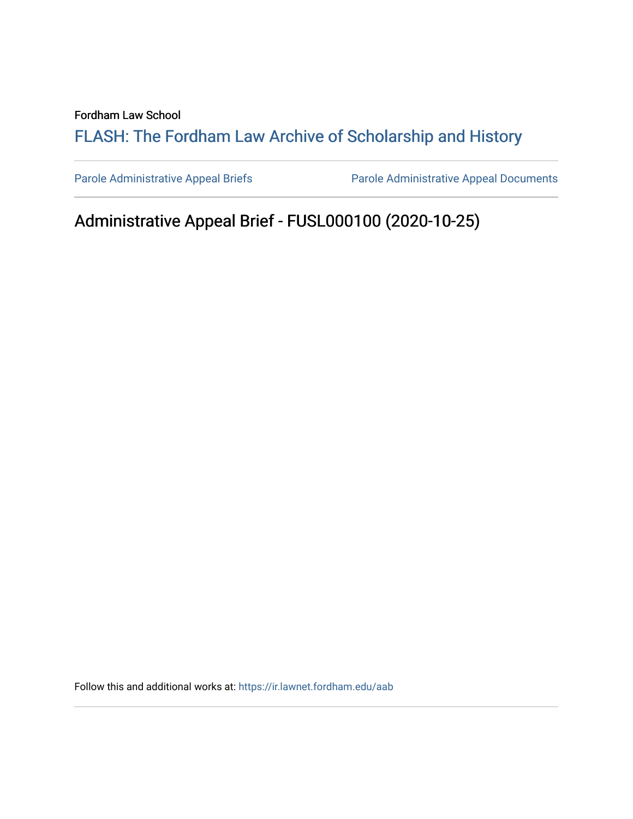Fordham Law School

# FLASH: The For[dham Law Archive of Scholarship and Hist](https://ir.lawnet.fordham.edu/)ory

[Parole Administrative Appeal Briefs](https://ir.lawnet.fordham.edu/aab) Parole Administrative Appeal Documents

# Administrative Appeal Brief - FUSL000100 (2020-10-25)

Follow this and additional works at: [https://ir.lawnet.fordham.edu/aab](https://ir.lawnet.fordham.edu/aab?utm_source=ir.lawnet.fordham.edu%2Faab%2F12&utm_medium=PDF&utm_campaign=PDFCoverPages)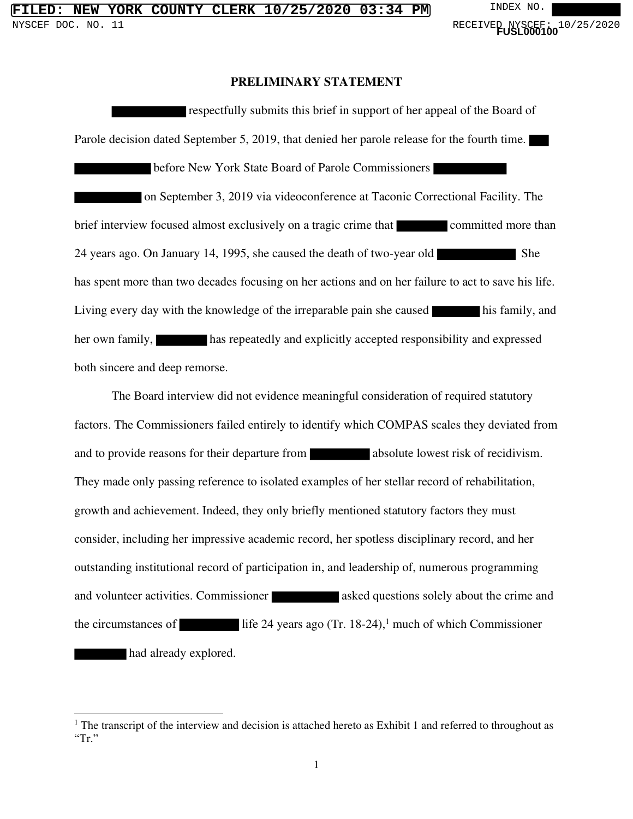#### **PRELIMINARY STATEMENT**

respectfully submits this brief in support of her appeal of the Board of Parole decision dated September 5, 2019, that denied her parole release for the fourth time. before New York State Board of Parole Commissioners on September 3, 2019 via videoconference at Taconic Correctional Facility. The brief interview focused almost exclusively on a tragic crime that committed more than 24 years ago. On January 14, 1995, she caused the death of two-year old She has spent more than two decades focusing on her actions and on her failure to act to save his life. Living every day with the knowledge of the irreparable pain she caused his family, and her own family, has repeatedly and explicitly accepted responsibility and expressed both sincere and deep remorse.

The Board interview did not evidence meaningful consideration of required statutory factors. The Commissioners failed entirely to identify which COMPAS scales they deviated from and to provide reasons for their departure from absolute lowest risk of recidivism. They made only passing reference to isolated examples of her stellar record of rehabilitation, growth and achievement. Indeed, they only briefly mentioned statutory factors they must consider, including her impressive academic record, her spotless disciplinary record, and her outstanding institutional record of participation in, and leadership of, numerous programming and volunteer activities. Commissioner asked questions solely about the crime and the circumstances of  $\qquad$  life 24 years ago (Tr. 18-24),<sup>1</sup> much of which Commissioner had already explored.

<sup>&</sup>lt;sup>1</sup> The transcript of the interview and decision is attached hereto as Exhibit 1 and referred to throughout as "Tr."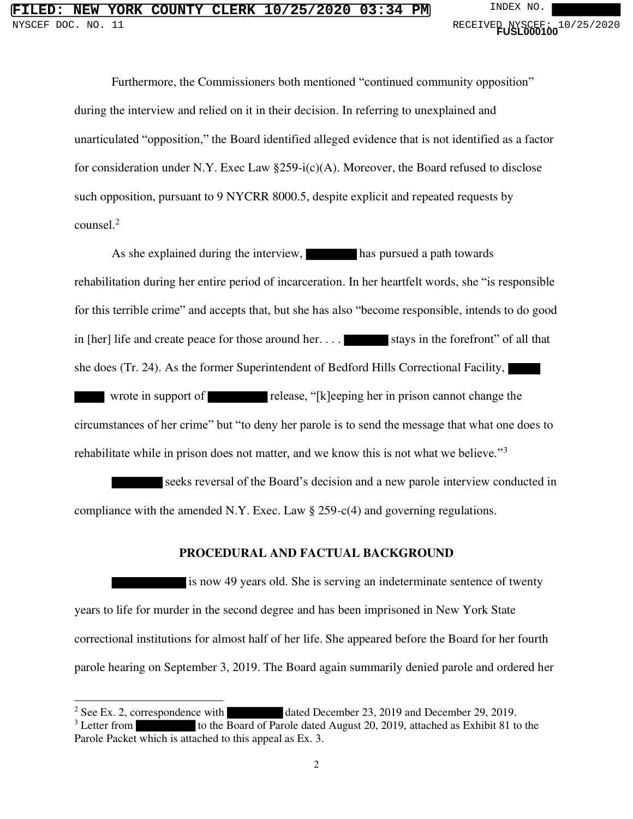Furthermore, the Commissioners both mentioned "continued community opposition" during the interview and relied on it in their decision. In referring to unexplained and unarticulated "opposition," the Board identified alleged evidence that is not identified as a factor for consideration under N.Y. Exec Law  $\S259-i(c)(A)$ . Moreover, the Board refused to disclose such opposition, pursuant to 9 NYCRR 8000.5, despite explicit and repeated requests by counsel.<sup>2</sup>

As she explained during the interview, has pursued a path towards rehabilitation during her entire period of incarceration. In her heartfelt words, she "is responsible for this terrible crime" and accepts that, but she has also "become responsible, intends to do good in  $[her]$  life and create peace for those around her.  $\ldots$  is stays in the forefront" of all that she does (Tr. 24). As the former Superintendent of Bedford Hills Correctional Facility,

wrote in support of release, "[k]eeping her in prison cannot change the circumstances of her crime" but "to deny her parole is to send the message that what one does to rehabilitate while in prison does not matter, and we know this is not what we believe."<sup>3</sup>

seeks reversal of the Board's decision and a new parole interview conducted in compliance with the amended N.Y. Exec. Law § 259-c(4) and governing regulations.

#### **PROCEDURAL AND FACTUAL BACKGROUND**

is now 49 years old. She is serving an indeterminate sentence of twenty years to life for murder in the second degree and has been imprisoned in New York State correctional institutions for almost half of her life. She appeared before the Board for her fourth parole hearing on September 3, 2019. The Board again summarily denied parole and ordered her

<sup>&</sup>lt;sup>2</sup> See Ex. 2, correspondence with dated December 23, 2019 and December 29, 2019.

 $3$  Letter from to the Board of Parole dated August 20, 2019, attached as Exhibit 81 to the Parole Packet which is attached to this appeal as Ex. 3.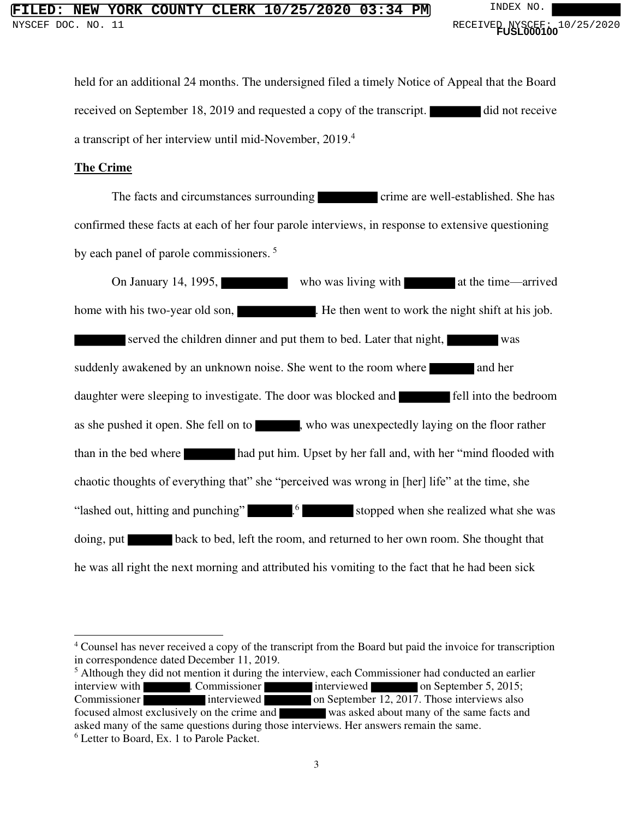held for an additional 24 months. The undersigned filed a timely Notice of Appeal that the Board received on September 18, 2019 and requested a copy of the transcript. did not receive a transcript of her interview until mid-November, 2019.<sup>4</sup>

#### **The Crime**

The facts and circumstances surrounding crime are well-established. She has confirmed these facts at each of her four parole interviews, in response to extensive questioning by each panel of parole commissioners.<sup>5</sup>

On January 14, 1995, who was living with at the time—arrived home with his two-year old son, . He then went to work the night shift at his job. served the children dinner and put them to bed. Later that night, suddenly awakened by an unknown noise. She went to the room where and her daughter were sleeping to investigate. The door was blocked and **Fell** into the bedroom as she pushed it open. She fell on to , who was unexpectedly laying on the floor rather than in the bed where had put him. Upset by her fall and, with her "mind flooded with chaotic thoughts of everything that" she "perceived was wrong in [her] life" at the time, she "lashed out, hitting and punching" .<sup>6</sup> ... stopped when she realized what she was doing, put back to bed, left the room, and returned to her own room. She thought that he was all right the next morning and attributed his vomiting to the fact that he had been sick

<sup>&</sup>lt;sup>4</sup> Counsel has never received a copy of the transcript from the Board but paid the invoice for transcription in correspondence dated December 11, 2019.

<sup>&</sup>lt;sup>5</sup> Although they did not mention it during the interview, each Commissioner had conducted an earlier interview with **EXEC COMMISSIONER 1999** . Commissioner **interviewed on September 12, 2017.** Those interviews also Commissioner interviewed on September 12, 2017. Those interviews also focused almost exclusively on the crime and was asked about many of the same facts and asked many of the same questions during those interviews. Her answers remain the same. 6 Letter to Board, Ex. 1 to Parole Packet.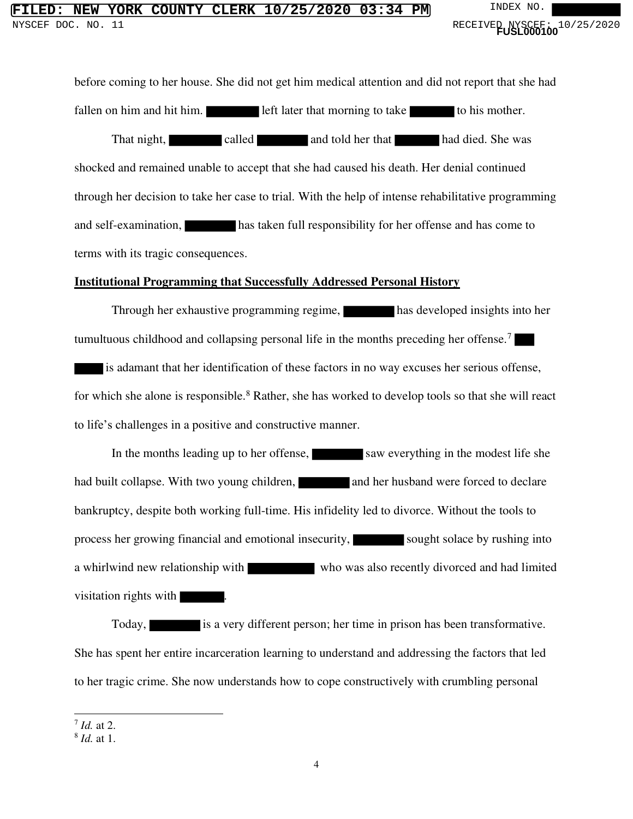## **FIORK COUNTY CLERK 10/25/2020 03:34 PM** INDEX NO. NYSCEF DOC. NO. 11 **And Contact Service Contact Service Contact Service Contact Service Contact Service Contact Service Contact Service Contact PUSL000100<sup>1</sup> 0<sup>1</sup>**

before coming to her house. She did not get him medical attention and did not report that she had fallen on him and hit him. left later that morning to take to his mother. That night, called and told her that had died. She was shocked and remained unable to accept that she had caused his death. Her denial continued through her decision to take her case to trial. With the help of intense rehabilitative programming and self-examination, has taken full responsibility for her offense and has come to terms with its tragic consequences.

#### **Institutional Programming that Successfully Addressed Personal History**

Through her exhaustive programming regime, has developed insights into her tumultuous childhood and collapsing personal life in the months preceding her offense.<sup>7</sup> is adamant that her identification of these factors in no way excuses her serious offense, for which she alone is responsible.<sup>8</sup> Rather, she has worked to develop tools so that she will react to life's challenges in a positive and constructive manner.

In the months leading up to her offense, saw everything in the modest life she had built collapse. With two young children, and her husband were forced to declare bankruptcy, despite both working full-time. His infidelity led to divorce. Without the tools to process her growing financial and emotional insecurity, sought solace by rushing into a whirlwind new relationship with who was also recently divorced and had limited visitation rights with .

Today, is a very different person; her time in prison has been transformative. She has spent her entire incarceration learning to understand and addressing the factors that led to her tragic crime. She now understands how to cope constructively with crumbling personal

<sup>7</sup> *Id.* at 2.

<sup>8</sup> *Id.* at 1.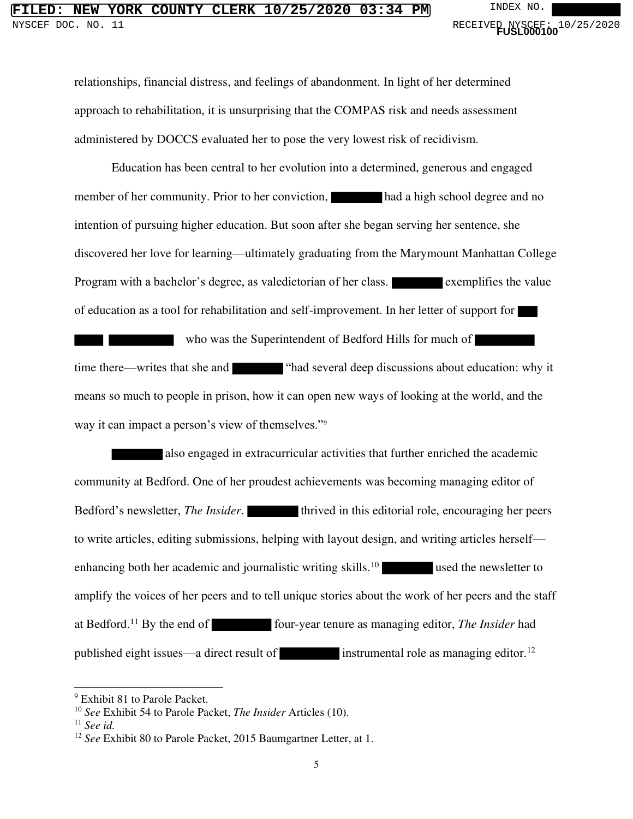# **FILED: NEW YORK COUNTY CLERK 10/25/2020 03:34 PM** INDEX NO. NYSCEF DOC. NO. 11 **And Contact Service Contact Service Contact Service Contact Service Contact Service Contact Service Contact Service Contact PUSL000100<sup>1</sup> 0<sup>1</sup>**

relationships, financial distress, and feelings of abandonment. In light of her determined approach to rehabilitation, it is unsurprising that the COMPAS risk and needs assessment administered by DOCCS evaluated her to pose the very lowest risk of recidivism.

Education has been central to her evolution into a determined, generous and engaged member of her community. Prior to her conviction, had a high school degree and no intention of pursuing higher education. But soon after she began serving her sentence, she discovered her love for learning—ultimately graduating from the Marymount Manhattan College Program with a bachelor's degree, as valedictorian of her class. exemplifies the value of education as a tool for rehabilitation and self-improvement. In her letter of support for

who was the Superintendent of Bedford Hills for much of time there—writes that she and "had several deep discussions about education: why it means so much to people in prison, how it can open new ways of looking at the world, and the way it can impact a person's view of themselves."<sup>9</sup>

also engaged in extracurricular activities that further enriched the academic community at Bedford. One of her proudest achievements was becoming managing editor of Bedford's newsletter, *The Insider*. **the Insider of the Industrial role**, encouraging her peers to write articles, editing submissions, helping with layout design, and writing articles herself enhancing both her academic and journalistic writing skills.<sup>10</sup> used the newsletter to amplify the voices of her peers and to tell unique stories about the work of her peers and the staff at Bedford.<sup>11</sup> By the end of four-year tenure as managing editor, *The Insider* had published eight issues—a direct result of instrumental role as managing editor.<sup>12</sup>

<sup>&</sup>lt;sup>9</sup> Exhibit 81 to Parole Packet.

<sup>10</sup> *See* Exhibit 54 to Parole Packet, *The Insider* Articles (10).

<sup>11</sup> *See id.*

<sup>12</sup> *See* Exhibit 80 to Parole Packet, 2015 Baumgartner Letter, at 1.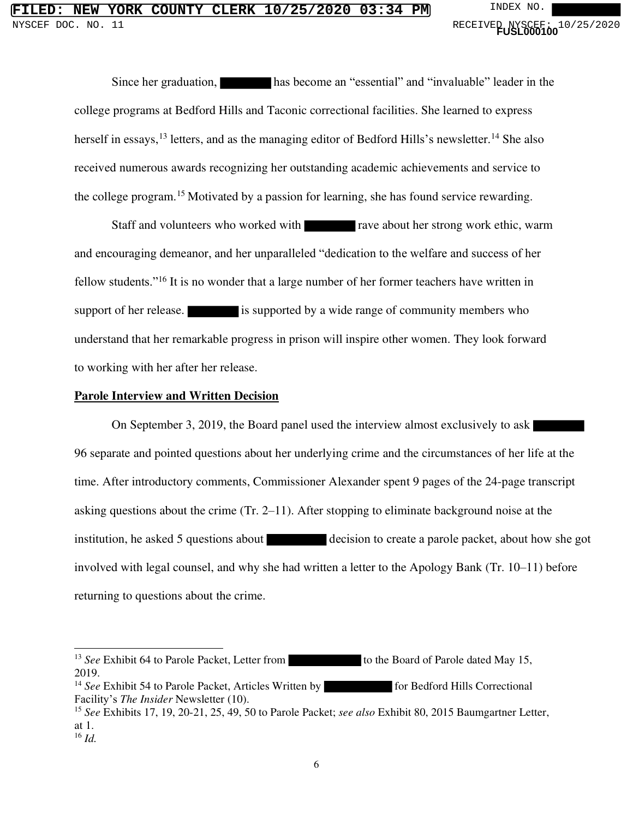Since her graduation, has become an "essential" and "invaluable" leader in the college programs at Bedford Hills and Taconic correctional facilities. She learned to express herself in essays,<sup>13</sup> letters, and as the managing editor of Bedford Hills's newsletter.<sup>14</sup> She also received numerous awards recognizing her outstanding academic achievements and service to the college program.<sup>15</sup> Motivated by a passion for learning, she has found service rewarding.

Staff and volunteers who worked with rave about her strong work ethic, warm and encouraging demeanor, and her unparalleled "dedication to the welfare and success of her fellow students."<sup>16</sup> It is no wonder that a large number of her former teachers have written in support of her release. is supported by a wide range of community members who understand that her remarkable progress in prison will inspire other women. They look forward to working with her after her release.

#### **Parole Interview and Written Decision**

 On September 3, 2019, the Board panel used the interview almost exclusively to ask 96 separate and pointed questions about her underlying crime and the circumstances of her life at the time. After introductory comments, Commissioner Alexander spent 9 pages of the 24-page transcript asking questions about the crime (Tr. 2–11). After stopping to eliminate background noise at the institution, he asked 5 questions about decision to create a parole packet, about how she got involved with legal counsel, and why she had written a letter to the Apology Bank (Tr. 10–11) before returning to questions about the crime.

<sup>&</sup>lt;sup>13</sup> *See* Exhibit 64 to Parole Packet, Letter from to the Board of Parole dated May 15, 2019.

<sup>&</sup>lt;sup>14</sup> *See* Exhibit 54 to Parole Packet, Articles Written by for Bedford Hills Correctional Facility's *The Insider* Newsletter (10).

<sup>15</sup> *See* Exhibits 17, 19, 20-21, 25, 49, 50 to Parole Packet; *see also* Exhibit 80, 2015 Baumgartner Letter, at 1.

<sup>16</sup> *Id.*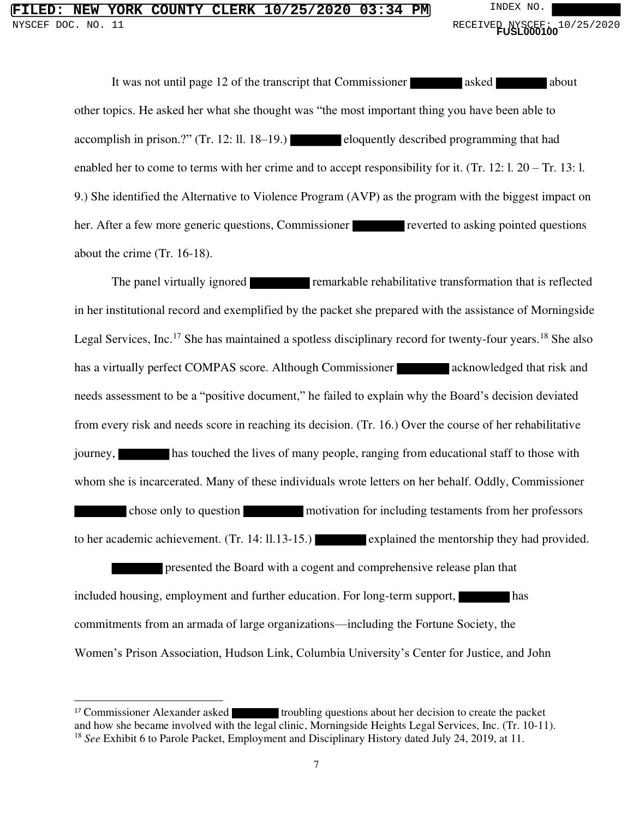# **FILED: NEW YORK COUNTY CLERK 10/25/2020 03:34 PM** INDEX NO. NYSCEF DOC. NO. 11 **And Contact Service Contact Service Contact Service Contact Service Contact Service Contact Service Contact Service Contact PUSL000100<sup>1</sup> 0<sup>1</sup>**

It was not until page 12 of the transcript that Commissioner asked about other topics. He asked her what she thought was "the most important thing you have been able to accomplish in prison.?" (Tr. 12: ll. 18–19.) eloquently described programming that had enabled her to come to terms with her crime and to accept responsibility for it. (Tr. 12: l. 20 – Tr. 13: l. 9.) She identified the Alternative to Violence Program (AVP) as the program with the biggest impact on her. After a few more generic questions, Commissioner reverted to asking pointed questions about the crime (Tr. 16-18).

The panel virtually ignored remarkable rehabilitative transformation that is reflected in her institutional record and exemplified by the packet she prepared with the assistance of Morningside Legal Services, Inc.<sup>17</sup> She has maintained a spotless disciplinary record for twenty-four years.<sup>18</sup> She also has a virtually perfect COMPAS score. Although Commissioner acknowledged that risk and needs assessment to be a "positive document," he failed to explain why the Board's decision deviated from every risk and needs score in reaching its decision. (Tr. 16.) Over the course of her rehabilitative journey, has touched the lives of many people, ranging from educational staff to those with whom she is incarcerated. Many of these individuals wrote letters on her behalf. Oddly, Commissioner chose only to question motivation for including testaments from her professors to her academic achievement. (Tr. 14: ll.13-15.) explained the mentorship they had provided.

presented the Board with a cogent and comprehensive release plan that included housing, employment and further education. For long-term support, has commitments from an armada of large organizations—including the Fortune Society, the Women's Prison Association, Hudson Link, Columbia University's Center for Justice, and John

<sup>&</sup>lt;sup>17</sup> Commissioner Alexander asked troubling questions about her decision to create the packet and how she became involved with the legal clinic, Morningside Heights Legal Services, Inc. (Tr. 10-11). <sup>18</sup> *See* Exhibit 6 to Parole Packet, Employment and Disciplinary History dated July 24, 2019, at 11.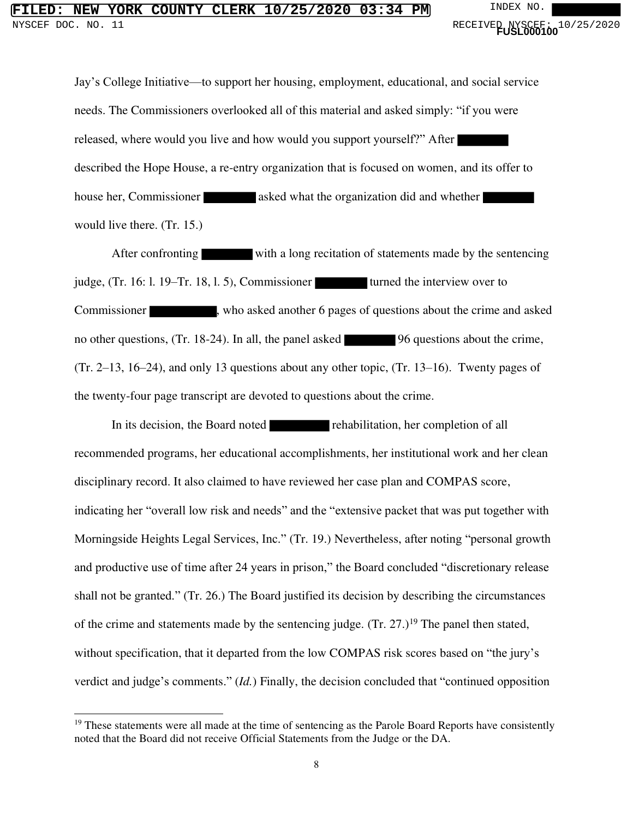## FILERK 10/25/2020 03:34 PM INDEX NO.<br>11 RECEIVER, NYSCEE NYSCEF DOC. NO. 11 **And Contact Service Contact Service Contact Service Contact Service Contact Service Contact Service Contact Service Contact PUSL000100<sup>1</sup> 0<sup>1</sup>**

Jay's College Initiative—to support her housing, employment, educational, and social service needs. The Commissioners overlooked all of this material and asked simply: "if you were released, where would you live and how would you support yourself?" After described the Hope House, a re-entry organization that is focused on women, and its offer to house her, Commissioner asked what the organization did and whether would live there. (Tr. 15.)

After confronting with a long recitation of statements made by the sentencing judge,  $(Tr. 16: 1. 19-Tr. 18, 1. 5)$ , Commissioner turned the interview over to Commissioner , who asked another 6 pages of questions about the crime and asked no other questions, (Tr. 18-24). In all, the panel asked 96 questions about the crime, (Tr. 2–13, 16–24), and only 13 questions about any other topic, (Tr. 13–16). Twenty pages of the twenty-four page transcript are devoted to questions about the crime.

In its decision, the Board noted rehabilitation, her completion of all recommended programs, her educational accomplishments, her institutional work and her clean disciplinary record. It also claimed to have reviewed her case plan and COMPAS score, indicating her "overall low risk and needs" and the "extensive packet that was put together with Morningside Heights Legal Services, Inc." (Tr. 19.) Nevertheless, after noting "personal growth and productive use of time after 24 years in prison," the Board concluded "discretionary release shall not be granted." (Tr. 26.) The Board justified its decision by describing the circumstances of the crime and statements made by the sentencing judge.  $(Tr. 27.)^{19}$  The panel then stated, without specification, that it departed from the low COMPAS risk scores based on "the jury's verdict and judge's comments." (*Id.*) Finally, the decision concluded that "continued opposition

<sup>&</sup>lt;sup>19</sup> These statements were all made at the time of sentencing as the Parole Board Reports have consistently noted that the Board did not receive Official Statements from the Judge or the DA.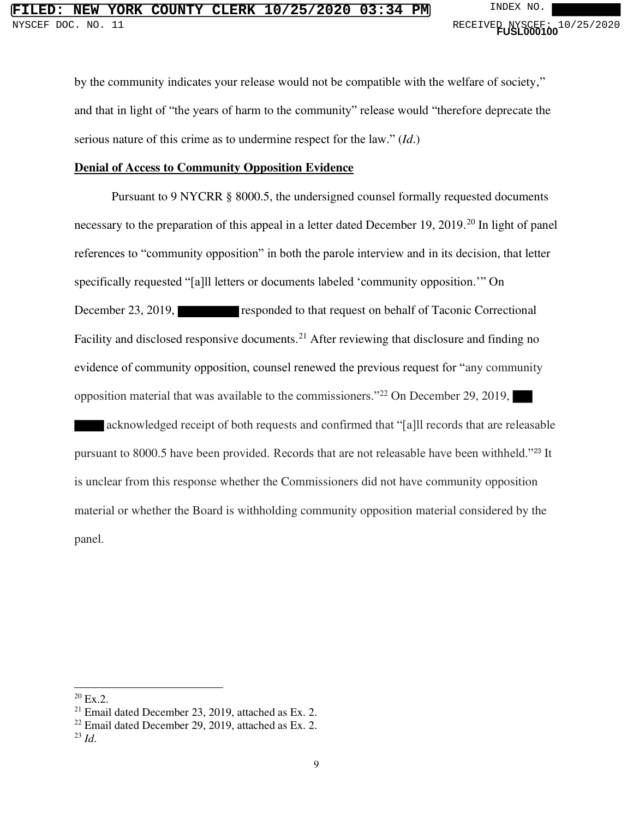by the community indicates your release would not be compatible with the welfare of society," and that in light of "the years of harm to the community" release would "therefore deprecate the serious nature of this crime as to undermine respect for the law." (*Id*.)

#### **Denial of Access to Community Opposition Evidence**

 Pursuant to 9 NYCRR § 8000.5, the undersigned counsel formally requested documents necessary to the preparation of this appeal in a letter dated December 19, 2019.<sup>20</sup> In light of panel references to "community opposition" in both the parole interview and in its decision, that letter specifically requested "[a]ll letters or documents labeled 'community opposition.'" On December 23, 2019, responded to that request on behalf of Taconic Correctional Facility and disclosed responsive documents.<sup>21</sup> After reviewing that disclosure and finding no evidence of community opposition, counsel renewed the previous request for "any community opposition material that was available to the commissioners."<sup>22</sup> On December 29, 2019, acknowledged receipt of both requests and confirmed that "[a]ll records that are releasable pursuant to 8000.5 have been provided. Records that are not releasable have been withheld."<sup>23</sup> It is unclear from this response whether the Commissioners did not have community opposition material or whether the Board is withholding community opposition material considered by the

panel.

 $20$  Ex.2.

 $21$  Email dated December 23, 2019, attached as Ex. 2.

 $22$  Email dated December 29, 2019, attached as Ex. 2.

<sup>23</sup> *Id*.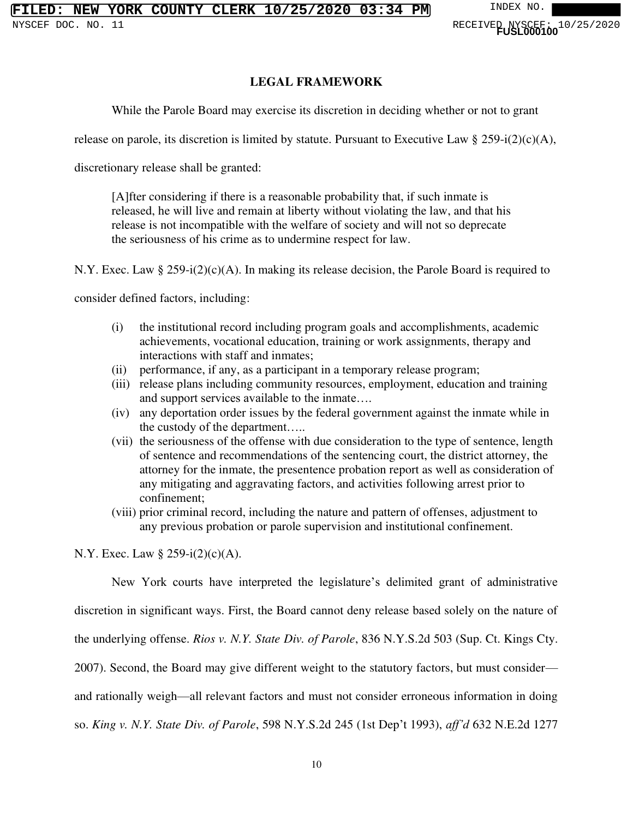#### **LEGAL FRAMEWORK**

While the Parole Board may exercise its discretion in deciding whether or not to grant

release on parole, its discretion is limited by statute. Pursuant to Executive Law  $\S 259-i(2)(c)(A)$ ,

discretionary release shall be granted:

[A]fter considering if there is a reasonable probability that, if such inmate is released, he will live and remain at liberty without violating the law, and that his release is not incompatible with the welfare of society and will not so deprecate the seriousness of his crime as to undermine respect for law.

N.Y. Exec. Law  $\S 259-i(2)(c)(A)$ . In making its release decision, the Parole Board is required to

consider defined factors, including:

- (i) the institutional record including program goals and accomplishments, academic achievements, vocational education, training or work assignments, therapy and interactions with staff and inmates;
- (ii) performance, if any, as a participant in a temporary release program;
- (iii) release plans including community resources, employment, education and training and support services available to the inmate….
- (iv) any deportation order issues by the federal government against the inmate while in the custody of the department…..
- (vii) the seriousness of the offense with due consideration to the type of sentence, length of sentence and recommendations of the sentencing court, the district attorney, the attorney for the inmate, the presentence probation report as well as consideration of any mitigating and aggravating factors, and activities following arrest prior to confinement;
- (viii) prior criminal record, including the nature and pattern of offenses, adjustment to any previous probation or parole supervision and institutional confinement.

N.Y. Exec. Law § 259-i(2)(c)(A).

New York courts have interpreted the legislature's delimited grant of administrative

discretion in significant ways. First, the Board cannot deny release based solely on the nature of

the underlying offense. *Rios v. N.Y. State Div. of Parole*, 836 N.Y.S.2d 503 (Sup. Ct. Kings Cty.

2007). Second, the Board may give different weight to the statutory factors, but must consider—

and rationally weigh—all relevant factors and must not consider erroneous information in doing

so. *King v. N.Y. State Div. of Parole*, 598 N.Y.S.2d 245 (1st Dep't 1993), *aff'd* 632 N.E.2d 1277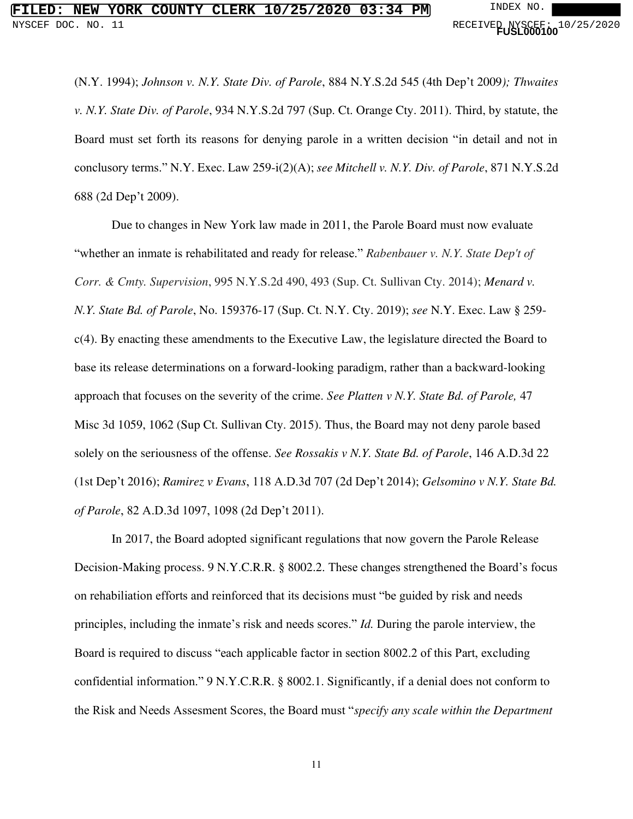(N.Y. 1994); *Johnson v. N.Y. State Div. of Parole*, 884 N.Y.S.2d 545 (4th Dep't 2009*); Thwaites v. N.Y. State Div. of Parole*, 934 N.Y.S.2d 797 (Sup. Ct. Orange Cty. 2011). Third, by statute, the Board must set forth its reasons for denying parole in a written decision "in detail and not in conclusory terms." N.Y. Exec. Law 259-i(2)(A); *see Mitchell v. N.Y. Div. of Parole*, 871 N.Y.S.2d 688 (2d Dep't 2009).

Due to changes in New York law made in 2011, the Parole Board must now evaluate "whether an inmate is rehabilitated and ready for release." *Rabenbauer v. N.Y. State Dep't of Corr. & Cmty. Supervision*, 995 N.Y.S.2d 490, 493 (Sup. Ct. Sullivan Cty. 2014); *Menard v. N.Y. State Bd. of Parole*, No. 159376-17 (Sup. Ct. N.Y. Cty. 2019); *see* N.Y. Exec. Law § 259 c(4). By enacting these amendments to the Executive Law, the legislature directed the Board to base its release determinations on a forward-looking paradigm, rather than a backward-looking approach that focuses on the severity of the crime. *See Platten v N.Y. State Bd. of Parole,* 47 Misc 3d 1059, 1062 (Sup Ct. Sullivan Cty. 2015). Thus, the Board may not deny parole based solely on the seriousness of the offense. *See Rossakis v N.Y. State Bd. of Parole*, 146 A.D.3d 22 (1st Dep't 2016); *Ramirez v Evans*, 118 A.D.3d 707 (2d Dep't 2014); *Gelsomino v N.Y. State Bd. of Parole*, 82 A.D.3d 1097, 1098 (2d Dep't 2011).

In 2017, the Board adopted significant regulations that now govern the Parole Release Decision-Making process. 9 N.Y.C.R.R. § 8002.2. These changes strengthened the Board's focus on rehabiliation efforts and reinforced that its decisions must "be guided by risk and needs principles, including the inmate's risk and needs scores." *Id.* During the parole interview, the Board is required to discuss "each applicable factor in section 8002.2 of this Part, excluding confidential information." 9 N.Y.C.R.R. § 8002.1. Significantly, if a denial does not conform to the Risk and Needs Assesment Scores, the Board must "*specify any scale within the Department*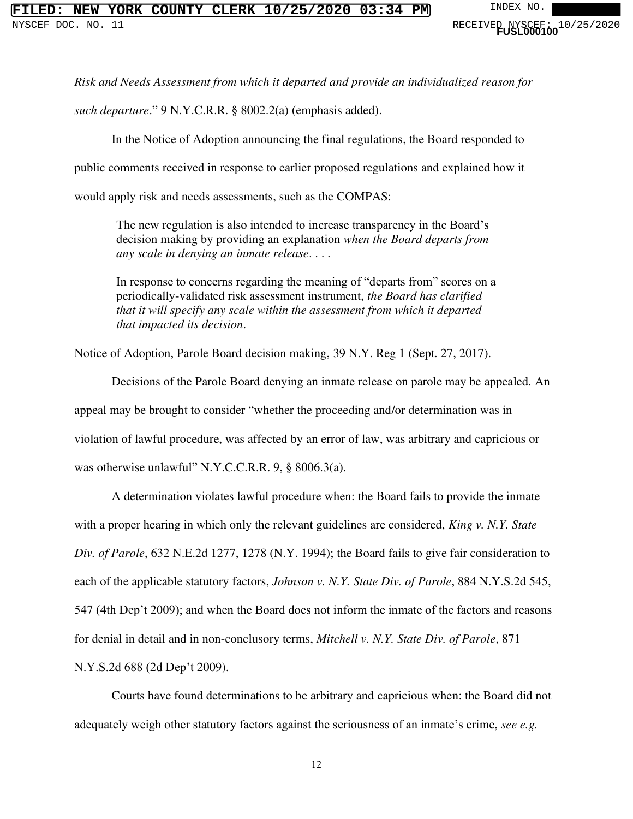# **NEW YORK COUNTY CLERK 10/25/2020 03:34 PM** INDEX NO

*Risk and Needs Assessment from which it departed and provide an individualized reason for* 

*such departure*." 9 N.Y.C.R.R. § 8002.2(a) (emphasis added).

In the Notice of Adoption announcing the final regulations, the Board responded to

public comments received in response to earlier proposed regulations and explained how it

would apply risk and needs assessments, such as the COMPAS:

The new regulation is also intended to increase transparency in the Board's decision making by providing an explanation *when the Board departs from any scale in denying an inmate release*. . . .

In response to concerns regarding the meaning of "departs from" scores on a periodically-validated risk assessment instrument, *the Board has clarified that it will specify any scale within the assessment from which it departed that impacted its decision*.

Notice of Adoption, Parole Board decision making, 39 N.Y. Reg 1 (Sept. 27, 2017).

Decisions of the Parole Board denying an inmate release on parole may be appealed. An appeal may be brought to consider "whether the proceeding and/or determination was in violation of lawful procedure, was affected by an error of law, was arbitrary and capricious or was otherwise unlawful" N.Y.C.C.R.R. 9, § 8006.3(a).

A determination violates lawful procedure when: the Board fails to provide the inmate with a proper hearing in which only the relevant guidelines are considered, *King v. N.Y. State Div. of Parole*, 632 N.E.2d 1277, 1278 (N.Y. 1994); the Board fails to give fair consideration to each of the applicable statutory factors, *Johnson v. N.Y. State Div. of Parole*, 884 N.Y.S.2d 545, 547 (4th Dep't 2009); and when the Board does not inform the inmate of the factors and reasons for denial in detail and in non-conclusory terms, *Mitchell v. N.Y. State Div. of Parole*, 871 N.Y.S.2d 688 (2d Dep't 2009).

Courts have found determinations to be arbitrary and capricious when: the Board did not adequately weigh other statutory factors against the seriousness of an inmate's crime, *see e.g.*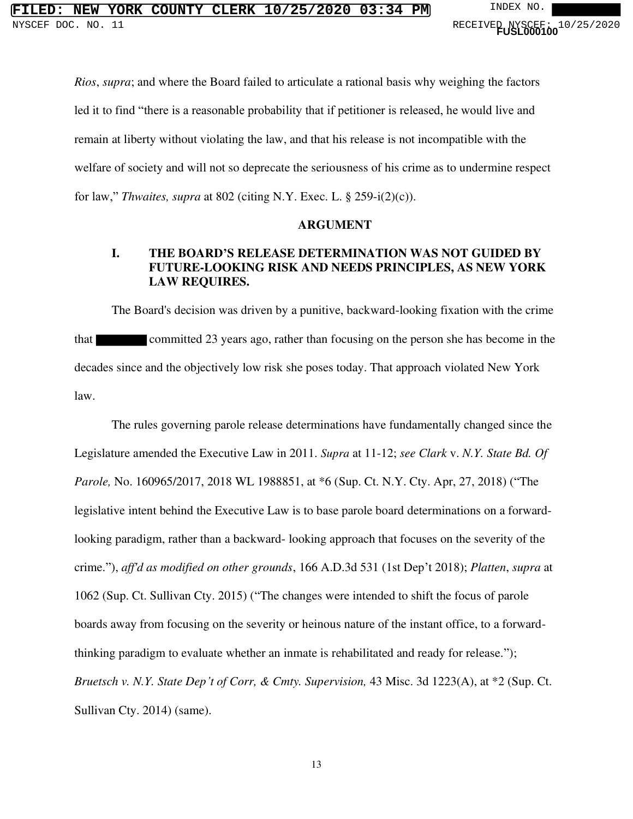*Rios*, *supra*; and where the Board failed to articulate a rational basis why weighing the factors led it to find "there is a reasonable probability that if petitioner is released, he would live and remain at liberty without violating the law, and that his release is not incompatible with the welfare of society and will not so deprecate the seriousness of his crime as to undermine respect for law," *Thwaites, supra* at 802 (citing N.Y. Exec. L. § 259-i(2)(c)).

#### **ARGUMENT**

### **I. THE BOARD'S RELEASE DETERMINATION WAS NOT GUIDED BY FUTURE-LOOKING RISK AND NEEDS PRINCIPLES, AS NEW YORK LAW REQUIRES.**

The Board's decision was driven by a punitive, backward-looking fixation with the crime that committed 23 years ago, rather than focusing on the person she has become in the decades since and the objectively low risk she poses today. That approach violated New York law.

The rules governing parole release determinations have fundamentally changed since the Legislature amended the Executive Law in 2011. *Supra* at 11-12; *see Clark* v. *N.Y. State Bd. Of Parole,* No. 160965/2017, 2018 WL 1988851, at \*6 (Sup. Ct. N.Y. Cty. Apr, 27, 2018) ("The legislative intent behind the Executive Law is to base parole board determinations on a forwardlooking paradigm, rather than a backward- looking approach that focuses on the severity of the crime."), *aff'd as modified on other grounds*, 166 A.D.3d 531 (1st Dep't 2018); *Platten*, *supra* at 1062 (Sup. Ct. Sullivan Cty. 2015) ("The changes were intended to shift the focus of parole boards away from focusing on the severity or heinous nature of the instant office, to a forwardthinking paradigm to evaluate whether an inmate is rehabilitated and ready for release."); *Bruetsch v. N.Y. State Dep't of Corr, & Cmty. Supervision,* 43 Misc. 3d 1223(A), at \*2 (Sup. Ct. Sullivan Cty. 2014) (same).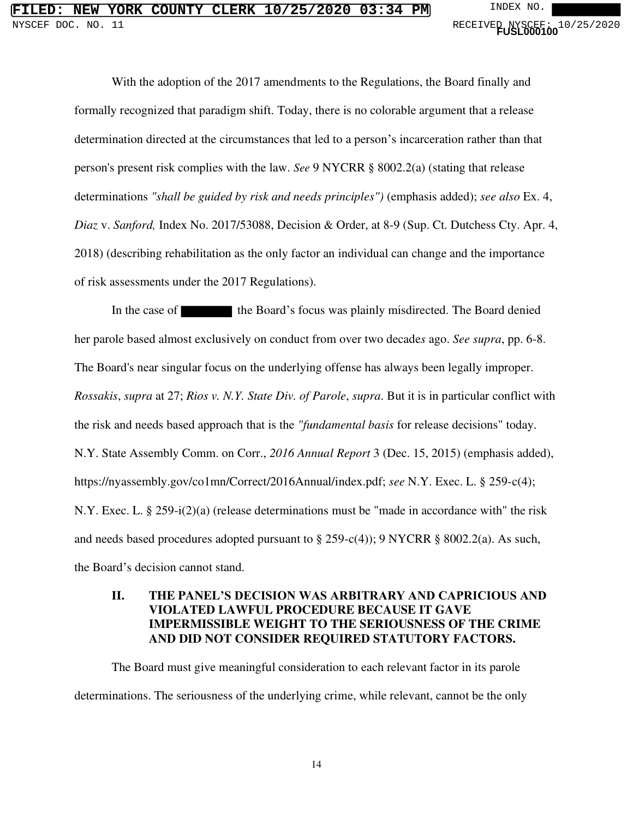With the adoption of the 2017 amendments to the Regulations, the Board finally and formally recognized that paradigm shift. Today, there is no colorable argument that a release determination directed at the circumstances that led to a person's incarceration rather than that person's present risk complies with the law. *See* 9 NYCRR § 8002.2(a) (stating that release determinations *"shall be guided by risk and needs principles")* (emphasis added); *see also* Ex. 4, *Diaz* v. *Sanford,* Index No. 2017/53088, Decision & Order, at 8-9 (Sup. Ct. Dutchess Cty. Apr. 4, 2018) (describing rehabilitation as the only factor an individual can change and the importance of risk assessments under the 2017 Regulations).

In the case of the Board's focus was plainly misdirected. The Board denied her parole based almost exclusively on conduct from over two decade*s* ago. *See supra*, pp. 6-8. The Board's near singular focus on the underlying offense has always been legally improper. *Rossakis*, *supra* at 27; *Rios v. N.Y. State Div. of Parole*, *supra*. But it is in particular conflict with the risk and needs based approach that is the *"fundamental basis* for release decisions" today. N.Y. State Assembly Comm. on Corr., *2016 Annual Report* 3 (Dec. 15, 2015) (emphasis added), https://nyassembly.gov/co1mn/Correct/2016Annual/index.pdf; *see* N.Y. Exec. L. § 259-c(4); N.Y. Exec. L. § 259-i(2)(a) (release determinations must be "made in accordance with" the risk and needs based procedures adopted pursuant to § 259-c(4)); 9 NYCRR § 8002.2(a). As such, the Board's decision cannot stand.

#### **II. THE PANEL'S DECISION WAS ARBITRARY AND CAPRICIOUS AND VIOLATED LAWFUL PROCEDURE BECAUSE IT GAVE IMPERMISSIBLE WEIGHT TO THE SERIOUSNESS OF THE CRIME AND DID NOT CONSIDER REQUIRED STATUTORY FACTORS.**

The Board must give meaningful consideration to each relevant factor in its parole determinations. The seriousness of the underlying crime, while relevant, cannot be the only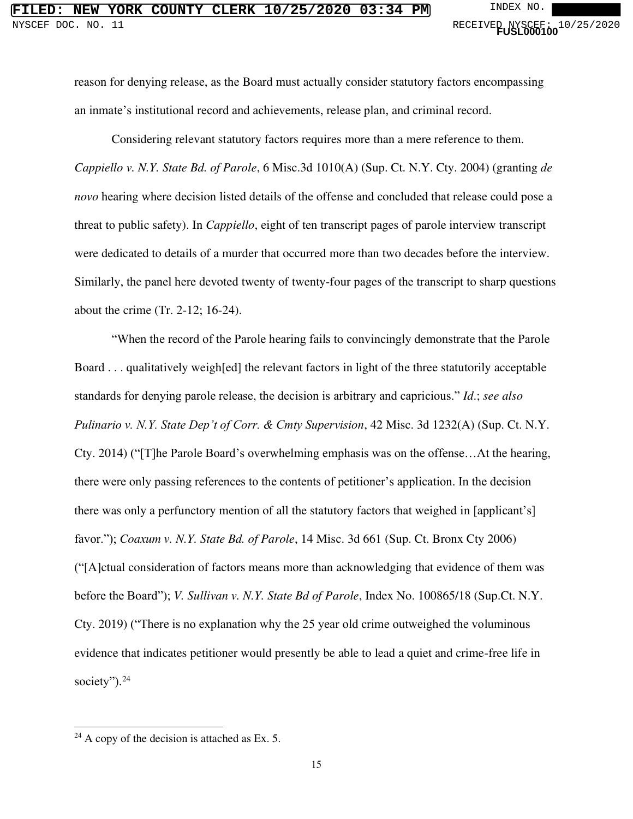reason for denying release, as the Board must actually consider statutory factors encompassing an inmate's institutional record and achievements, release plan, and criminal record.

Considering relevant statutory factors requires more than a mere reference to them. *Cappiello v. N.Y. State Bd. of Parole*, 6 Misc.3d 1010(A) (Sup. Ct. N.Y. Cty. 2004) (granting *de novo* hearing where decision listed details of the offense and concluded that release could pose a threat to public safety). In *Cappiello*, eight of ten transcript pages of parole interview transcript were dedicated to details of a murder that occurred more than two decades before the interview. Similarly, the panel here devoted twenty of twenty-four pages of the transcript to sharp questions about the crime (Tr. 2-12; 16-24).

"When the record of the Parole hearing fails to convincingly demonstrate that the Parole Board . . . qualitatively weigh[ed] the relevant factors in light of the three statutorily acceptable standards for denying parole release, the decision is arbitrary and capricious." *Id*.; *see also Pulinario v. N.Y. State Dep't of Corr. & Cmty Supervision*, 42 Misc. 3d 1232(A) (Sup. Ct. N.Y. Cty. 2014) ("[T]he Parole Board's overwhelming emphasis was on the offense…At the hearing, there were only passing references to the contents of petitioner's application. In the decision there was only a perfunctory mention of all the statutory factors that weighed in [applicant's] favor."); *Coaxum v. N.Y. State Bd. of Parole*, 14 Misc. 3d 661 (Sup. Ct. Bronx Cty 2006) ("[A]ctual consideration of factors means more than acknowledging that evidence of them was before the Board"); *V. Sullivan v. N.Y. State Bd of Parole*, Index No. 100865/18 (Sup.Ct. N.Y. Cty. 2019) ("There is no explanation why the 25 year old crime outweighed the voluminous evidence that indicates petitioner would presently be able to lead a quiet and crime-free life in society").<sup>24</sup>

 $24$  A copy of the decision is attached as Ex. 5.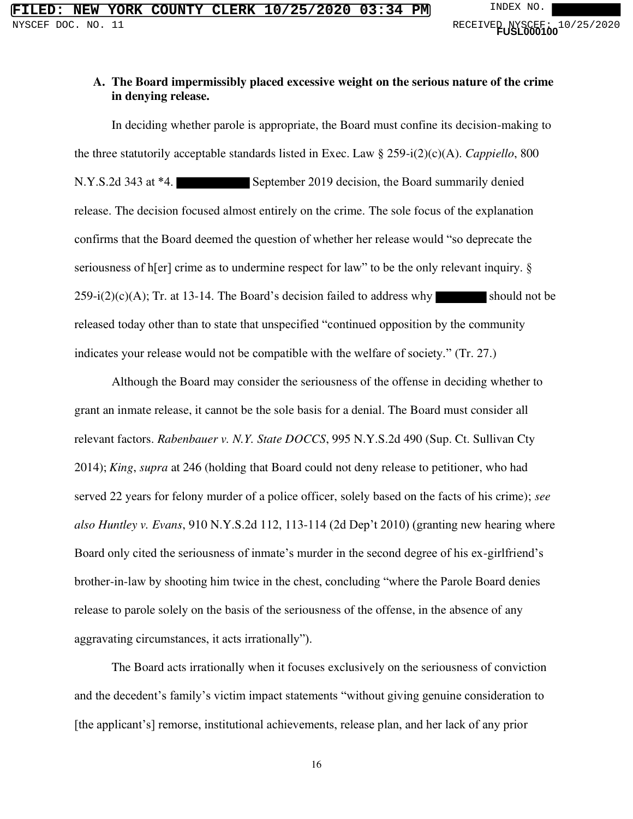#### **A. The Board impermissibly placed excessive weight on the serious nature of the crime in denying release.**

In deciding whether parole is appropriate, the Board must confine its decision-making to the three statutorily acceptable standards listed in Exec. Law § 259-i(2)(c)(A). *Cappiello*, 800 N.Y.S.2d 343 at \*4. September 2019 decision, the Board summarily denied release. The decision focused almost entirely on the crime. The sole focus of the explanation confirms that the Board deemed the question of whether her release would "so deprecate the seriousness of h[er] crime as to undermine respect for law" to be the only relevant inquiry.  $\S$  $259-i(2)(c)(A)$ ; Tr. at 13-14. The Board's decision failed to address why should not be released today other than to state that unspecified "continued opposition by the community indicates your release would not be compatible with the welfare of society." (Tr. 27.)

Although the Board may consider the seriousness of the offense in deciding whether to grant an inmate release, it cannot be the sole basis for a denial. The Board must consider all relevant factors. *Rabenbauer v. N.Y. State DOCCS*, 995 N.Y.S.2d 490 (Sup. Ct. Sullivan Cty 2014); *King*, *supra* at 246 (holding that Board could not deny release to petitioner, who had served 22 years for felony murder of a police officer, solely based on the facts of his crime); *see also Huntley v. Evans*, 910 N.Y.S.2d 112, 113-114 (2d Dep't 2010) (granting new hearing where Board only cited the seriousness of inmate's murder in the second degree of his ex-girlfriend's brother-in-law by shooting him twice in the chest, concluding "where the Parole Board denies release to parole solely on the basis of the seriousness of the offense, in the absence of any aggravating circumstances, it acts irrationally").

The Board acts irrationally when it focuses exclusively on the seriousness of conviction and the decedent's family's victim impact statements "without giving genuine consideration to [the applicant's] remorse, institutional achievements, release plan, and her lack of any prior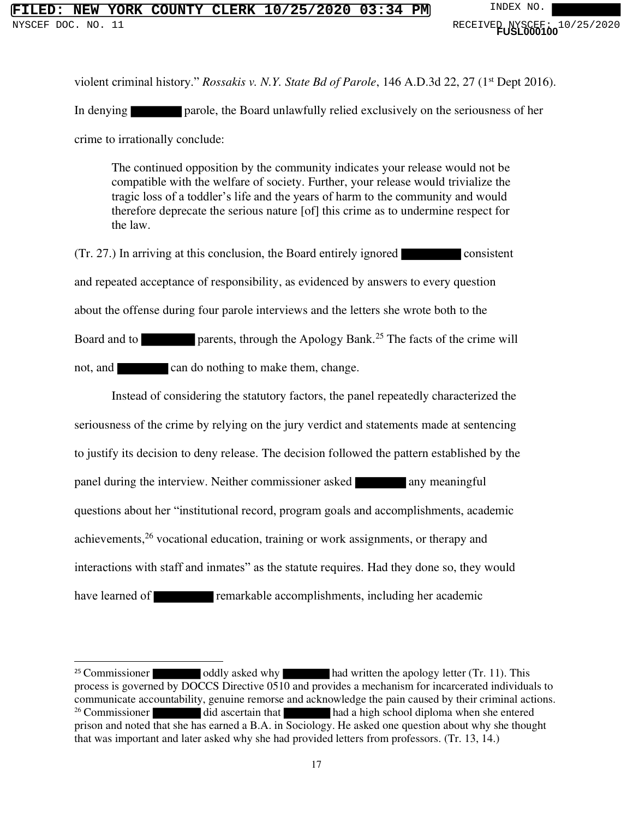violent criminal history." *Rossakis v. N.Y. State Bd of Parole*, 146 A.D.3d 22, 27 (1<sup>st</sup> Dept 2016).

In denying parole, the Board unlawfully relied exclusively on the seriousness of her

crime to irrationally conclude:

The continued opposition by the community indicates your release would not be compatible with the welfare of society. Further, your release would trivialize the tragic loss of a toddler's life and the years of harm to the community and would therefore deprecate the serious nature [of] this crime as to undermine respect for the law.

(Tr. 27.) In arriving at this conclusion, the Board entirely ignored consistent and repeated acceptance of responsibility, as evidenced by answers to every question about the offense during four parole interviews and the letters she wrote both to the Board and to **parents**, through the Apology Bank.<sup>25</sup> The facts of the crime will not, and can do nothing to make them, change.

 Instead of considering the statutory factors, the panel repeatedly characterized the seriousness of the crime by relying on the jury verdict and statements made at sentencing to justify its decision to deny release. The decision followed the pattern established by the panel during the interview. Neither commissioner asked any meaningful questions about her "institutional record, program goals and accomplishments, academic achievements,<sup>26</sup> vocational education, training or work assignments, or therapy and interactions with staff and inmates" as the statute requires. Had they done so, they would have learned of **remarkable accomplishments**, including her academic

<sup>&</sup>lt;sup>25</sup> Commissioner oddly asked why had written the apology letter (Tr. 11). This process is governed by DOCCS Directive 0510 and provides a mechanism for incarcerated individuals to communicate accountability, genuine remorse and acknowledge the pain caused by their criminal actions. <sup>26</sup> Commissioner did ascertain that had a high school diploma when she entered prison and noted that she has earned a B.A. in Sociology. He asked one question about why she thought that was important and later asked why she had provided letters from professors. (Tr. 13, 14.)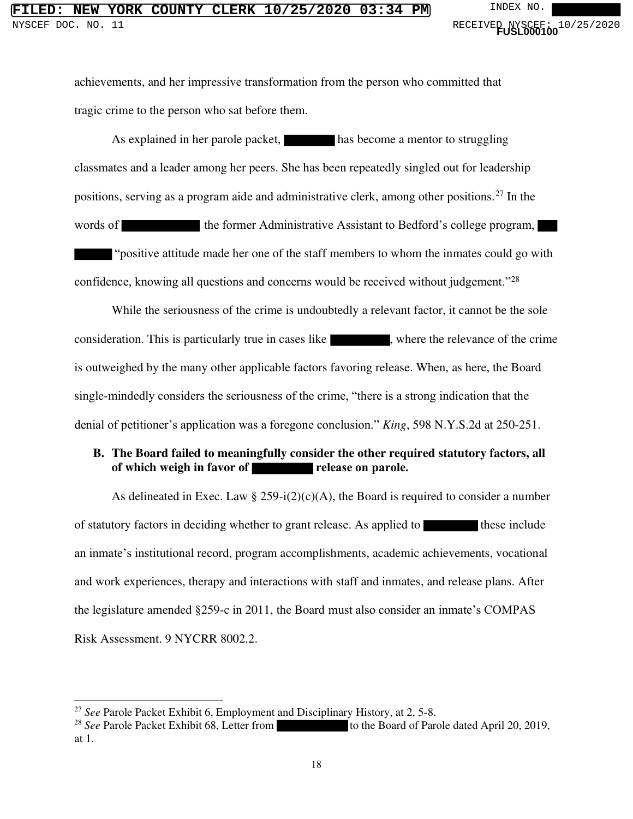# **FILED: NEW YORK COUNTY CLERK 10/25/2020 03:34 PM** INDEX NO.

achievements, and her impressive transformation from the person who committed that tragic crime to the person who sat before them.

As explained in her parole packet, has become a mentor to struggling classmates and a leader among her peers. She has been repeatedly singled out for leadership positions, serving as a program aide and administrative clerk, among other positions.<sup>27</sup> In the words of the former Administrative Assistant to Bedford's college program, "positive attitude made her one of the staff members to whom the inmates could go with confidence, knowing all questions and concerns would be received without judgement."<sup>28</sup>

While the seriousness of the crime is undoubtedly a relevant factor, it cannot be the sole consideration. This is particularly true in cases like , where the relevance of the crime is outweighed by the many other applicable factors favoring release. When, as here, the Board single-mindedly considers the seriousness of the crime, "there is a strong indication that the denial of petitioner's application was a foregone conclusion." *King*, 598 N.Y.S.2d at 250-251.

### **B. The Board failed to meaningfully consider the other required statutory factors, all of which weigh in favor of release on parole.**

As delineated in Exec. Law § 259-i(2)(c)(A), the Board is required to consider a number of statutory factors in deciding whether to grant release. As applied to these include an inmate's institutional record, program accomplishments, academic achievements, vocational and work experiences, therapy and interactions with staff and inmates, and release plans. After the legislature amended §259-c in 2011, the Board must also consider an inmate's COMPAS Risk Assessment. 9 NYCRR 8002.2.

<sup>&</sup>lt;sup>27</sup> *See* Parole Packet Exhibit 6, Employment and Disciplinary History, at 2, 5-8.<br><sup>28</sup> *See* Parole Packet Exhibit 68, Letter from the Board of Parole Packet Exhibit 68, Letter from to the Board of Parole dated April 20, 2019, at 1.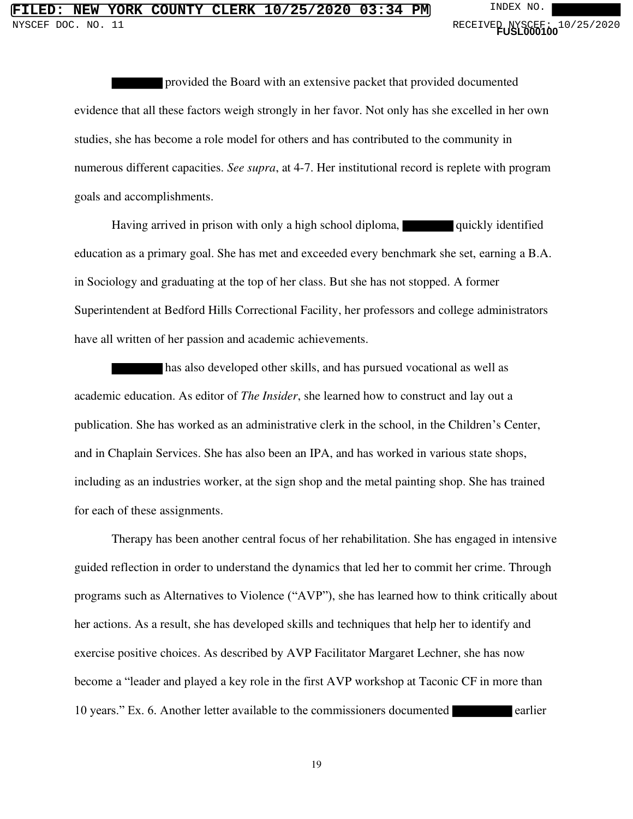provided the Board with an extensive packet that provided documented evidence that all these factors weigh strongly in her favor. Not only has she excelled in her own studies, she has become a role model for others and has contributed to the community in numerous different capacities. *See supra*, at 4-7. Her institutional record is replete with program goals and accomplishments.

Having arrived in prison with only a high school diploma, quickly identified education as a primary goal. She has met and exceeded every benchmark she set, earning a B.A. in Sociology and graduating at the top of her class. But she has not stopped. A former Superintendent at Bedford Hills Correctional Facility, her professors and college administrators have all written of her passion and academic achievements.

has also developed other skills, and has pursued vocational as well as academic education. As editor of *The Insider*, she learned how to construct and lay out a publication. She has worked as an administrative clerk in the school, in the Children's Center, and in Chaplain Services. She has also been an IPA, and has worked in various state shops, including as an industries worker, at the sign shop and the metal painting shop. She has trained for each of these assignments.

Therapy has been another central focus of her rehabilitation. She has engaged in intensive guided reflection in order to understand the dynamics that led her to commit her crime. Through programs such as Alternatives to Violence ("AVP"), she has learned how to think critically about her actions. As a result, she has developed skills and techniques that help her to identify and exercise positive choices. As described by AVP Facilitator Margaret Lechner, she has now become a "leader and played a key role in the first AVP workshop at Taconic CF in more than 10 years." Ex. 6. Another letter available to the commissioners documented earlier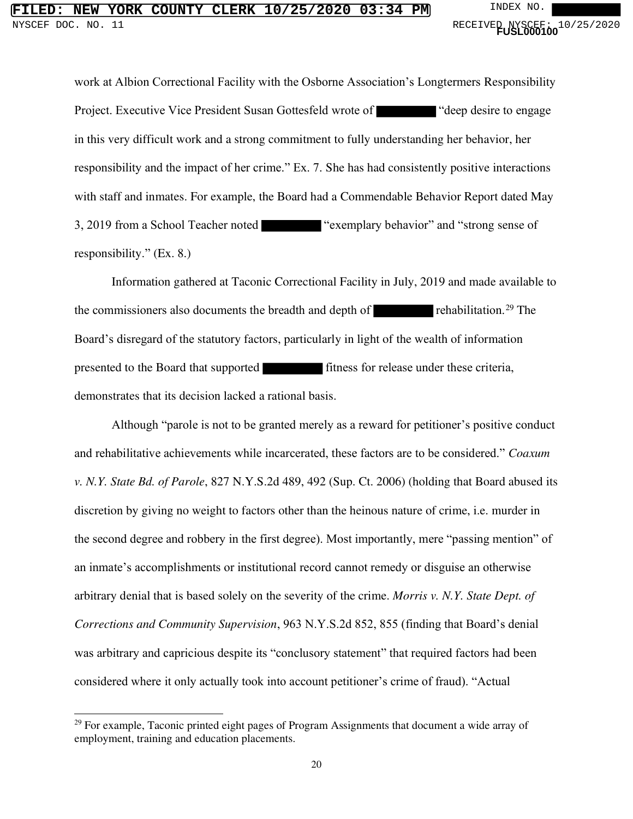# **FILED: NEW YORK COUNTY CLERK 10/25/2020 03:34 PM** INDEX NO. NYSCEF DOC. NO. 11 **And Contact Service Contact Service Contact Service Contact Service Contact Service Contact Service Contact Service Contact PUSL000100<sup>1</sup> 0<sup>1</sup>**

work at Albion Correctional Facility with the Osborne Association's Longtermers Responsibility Project. Executive Vice President Susan Gottesfeld wrote of "deep desire to engage" in this very difficult work and a strong commitment to fully understanding her behavior, her responsibility and the impact of her crime." Ex. 7. She has had consistently positive interactions with staff and inmates. For example, the Board had a Commendable Behavior Report dated May 3, 2019 from a School Teacher noted "exemplary behavior" and "strong sense of responsibility." (Ex. 8.)

Information gathered at Taconic Correctional Facility in July, 2019 and made available to the commissioners also documents the breadth and depth of  $\blacksquare$  rehabilitation.<sup>29</sup> The Board's disregard of the statutory factors, particularly in light of the wealth of information presented to the Board that supported fitness for release under these criteria, demonstrates that its decision lacked a rational basis.

Although "parole is not to be granted merely as a reward for petitioner's positive conduct and rehabilitative achievements while incarcerated, these factors are to be considered." *Coaxum v. N.Y. State Bd. of Parole*, 827 N.Y.S.2d 489, 492 (Sup. Ct. 2006) (holding that Board abused its discretion by giving no weight to factors other than the heinous nature of crime, i.e. murder in the second degree and robbery in the first degree). Most importantly, mere "passing mention" of an inmate's accomplishments or institutional record cannot remedy or disguise an otherwise arbitrary denial that is based solely on the severity of the crime. *Morris v. N.Y. State Dept. of Corrections and Community Supervision*, 963 N.Y.S.2d 852, 855 (finding that Board's denial was arbitrary and capricious despite its "conclusory statement" that required factors had been considered where it only actually took into account petitioner's crime of fraud). "Actual

<sup>&</sup>lt;sup>29</sup> For example, Taconic printed eight pages of Program Assignments that document a wide array of employment, training and education placements.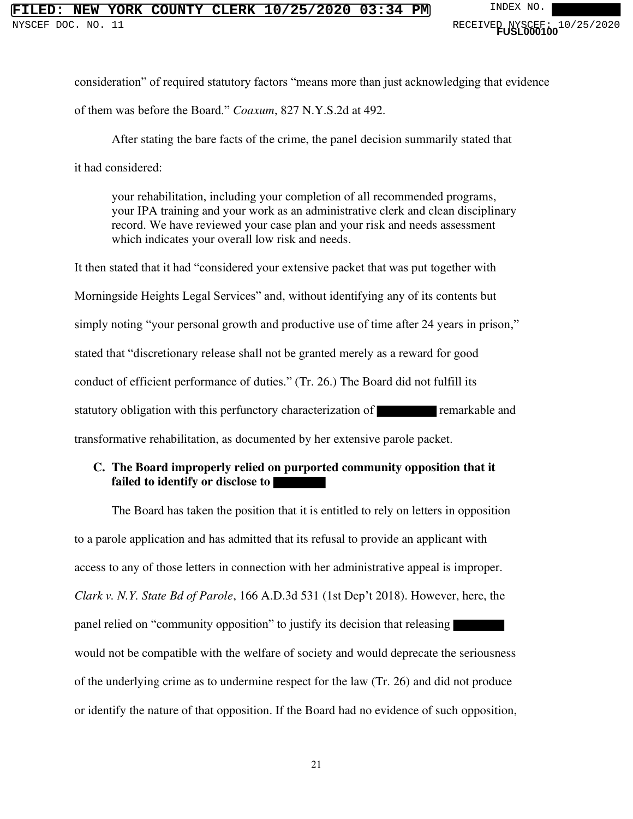## **FIORK COUNTY CLERK 10/25/2020 03:34 PM** INDEX NO.

consideration" of required statutory factors "means more than just acknowledging that evidence of them was before the Board." *Coaxum*, 827 N.Y.S.2d at 492.

After stating the bare facts of the crime, the panel decision summarily stated that it had considered:

your rehabilitation, including your completion of all recommended programs, your IPA training and your work as an administrative clerk and clean disciplinary record. We have reviewed your case plan and your risk and needs assessment which indicates your overall low risk and needs.

It then stated that it had "considered your extensive packet that was put together with Morningside Heights Legal Services" and, without identifying any of its contents but simply noting "your personal growth and productive use of time after 24 years in prison," stated that "discretionary release shall not be granted merely as a reward for good conduct of efficient performance of duties." (Tr. 26.) The Board did not fulfill its statutory obligation with this perfunctory characterization of **remarkable** and transformative rehabilitation, as documented by her extensive parole packet.

## **C. The Board improperly relied on purported community opposition that it failed to identify or disclose to**

The Board has taken the position that it is entitled to rely on letters in opposition to a parole application and has admitted that its refusal to provide an applicant with access to any of those letters in connection with her administrative appeal is improper. *Clark v. N.Y. State Bd of Parole*, 166 A.D.3d 531 (1st Dep't 2018). However, here, the panel relied on "community opposition" to justify its decision that releasing would not be compatible with the welfare of society and would deprecate the seriousness of the underlying crime as to undermine respect for the law (Tr. 26) and did not produce or identify the nature of that opposition. If the Board had no evidence of such opposition,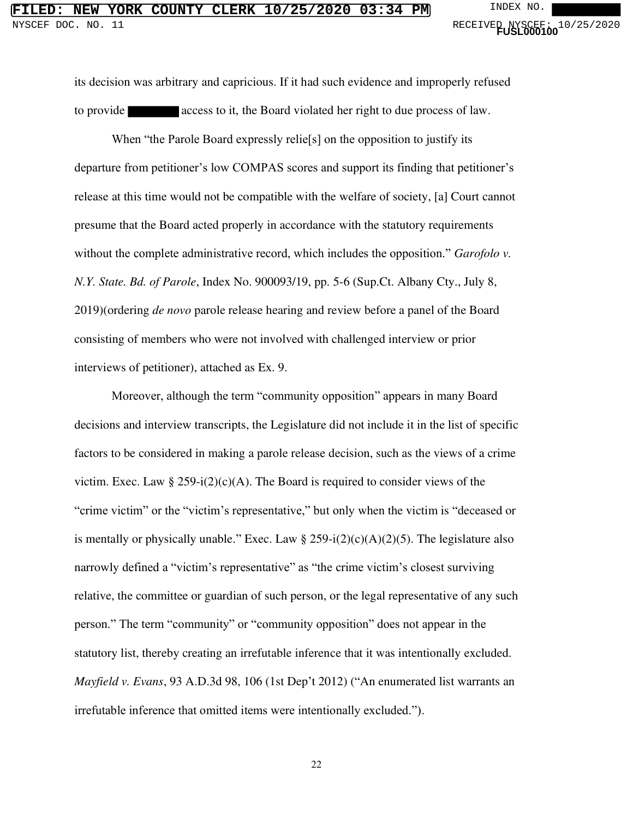its decision was arbitrary and capricious. If it had such evidence and improperly refused to provide access to it, the Board violated her right to due process of law.

When "the Parole Board expressly relie<sup>[s]</sup> on the opposition to justify its departure from petitioner's low COMPAS scores and support its finding that petitioner's release at this time would not be compatible with the welfare of society, [a] Court cannot presume that the Board acted properly in accordance with the statutory requirements without the complete administrative record, which includes the opposition." *Garofolo v. N.Y. State. Bd. of Parole*, Index No. 900093/19, pp. 5-6 (Sup.Ct. Albany Cty., July 8, 2019)(ordering *de novo* parole release hearing and review before a panel of the Board consisting of members who were not involved with challenged interview or prior interviews of petitioner), attached as Ex. 9.

Moreover, although the term "community opposition" appears in many Board decisions and interview transcripts, the Legislature did not include it in the list of specific factors to be considered in making a parole release decision, such as the views of a crime victim. Exec. Law § 259-i(2)(c)(A). The Board is required to consider views of the "crime victim" or the "victim's representative," but only when the victim is "deceased or is mentally or physically unable." Exec. Law  $\S 259-i(2)(c)(A)(2)(5)$ . The legislature also narrowly defined a "victim's representative" as "the crime victim's closest surviving relative, the committee or guardian of such person, or the legal representative of any such person." The term "community" or "community opposition" does not appear in the statutory list, thereby creating an irrefutable inference that it was intentionally excluded. *Mayfield v. Evans*, 93 A.D.3d 98, 106 (1st Dep't 2012) ("An enumerated list warrants an irrefutable inference that omitted items were intentionally excluded.").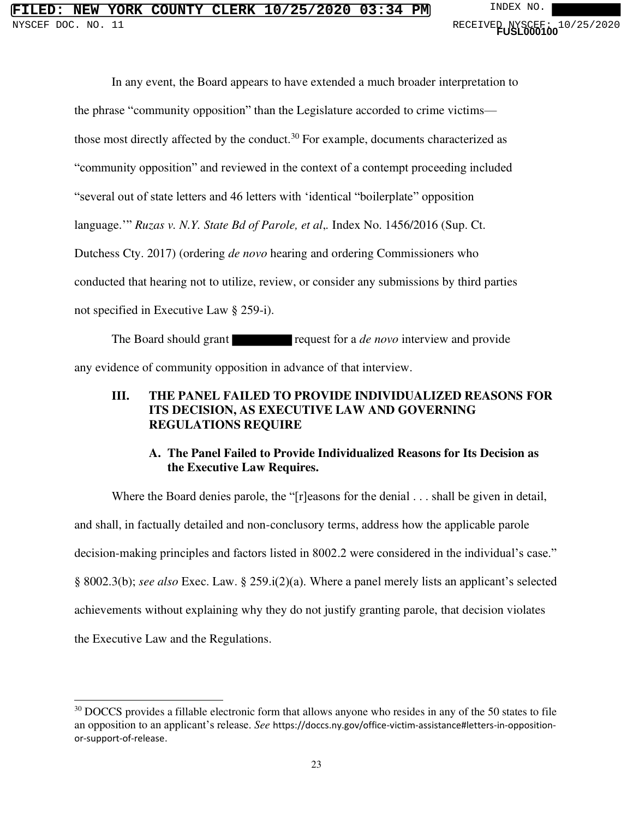In any event, the Board appears to have extended a much broader interpretation to the phrase "community opposition" than the Legislature accorded to crime victims those most directly affected by the conduct.<sup>30</sup> For example, documents characterized as "community opposition" and reviewed in the context of a contempt proceeding included "several out of state letters and 46 letters with 'identical "boilerplate" opposition language.'" *Ruzas v. N.Y. State Bd of Parole, et al*,*.* Index No. 1456/2016 (Sup. Ct. Dutchess Cty. 2017) (ordering *de novo* hearing and ordering Commissioners who conducted that hearing not to utilize, review, or consider any submissions by third parties not specified in Executive Law § 259-i).

The Board should grant request for a *de novo* interview and provide any evidence of community opposition in advance of that interview.

### **III. THE PANEL FAILED TO PROVIDE INDIVIDUALIZED REASONS FOR ITS DECISION, AS EXECUTIVE LAW AND GOVERNING REGULATIONS REQUIRE**

### **A. The Panel Failed to Provide Individualized Reasons for Its Decision as the Executive Law Requires.**

Where the Board denies parole, the "[r]easons for the denial . . . shall be given in detail, and shall, in factually detailed and non-conclusory terms, address how the applicable parole decision-making principles and factors listed in 8002.2 were considered in the individual's case." § 8002.3(b); *see also* Exec. Law. § 259.i(2)(a). Where a panel merely lists an applicant's selected achievements without explaining why they do not justify granting parole, that decision violates the Executive Law and the Regulations.

<sup>&</sup>lt;sup>30</sup> DOCCS provides a fillable electronic form that allows anyone who resides in any of the 50 states to file an opposition to an applicant's release. *See* https://doccs.ny.gov/office-victim-assistance#letters-in-oppositionor-support-of-release.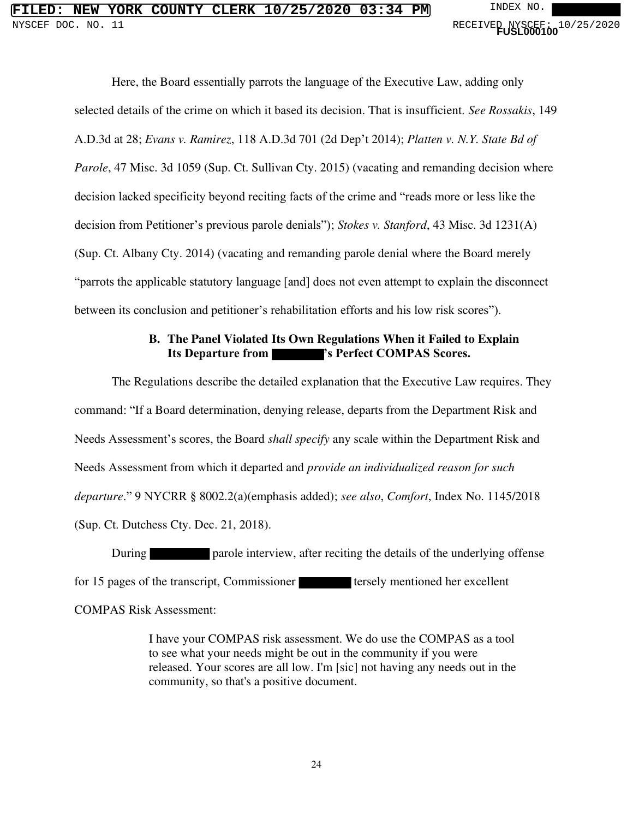## **NEW YORK COUNTY CLERK 10/25/2020 03:34 PM** INDEX NO. NYSCEF DOC. NO. 11 **And Contact Service Contact Service Contact Service Contact Service Contact Service Contact Service Contact Service Contact PUSL000100<sup>1</sup> 0<sup>1</sup>**

Here, the Board essentially parrots the language of the Executive Law, adding only selected details of the crime on which it based its decision. That is insufficient. *See Rossakis*, 149 A.D.3d at 28; *Evans v. Ramirez*, 118 A.D.3d 701 (2d Dep't 2014); *Platten v. N.Y. State Bd of Parole*, 47 Misc. 3d 1059 (Sup. Ct. Sullivan Cty. 2015) (vacating and remanding decision where decision lacked specificity beyond reciting facts of the crime and "reads more or less like the decision from Petitioner's previous parole denials"); *Stokes v. Stanford*, 43 Misc. 3d 1231(A) (Sup. Ct. Albany Cty. 2014) (vacating and remanding parole denial where the Board merely "parrots the applicable statutory language [and] does not even attempt to explain the disconnect between its conclusion and petitioner's rehabilitation efforts and his low risk scores").

## **B. The Panel Violated Its Own Regulations When it Failed to Explain Its Departure from 's Perfect COMPAS Scores.**

 The Regulations describe the detailed explanation that the Executive Law requires. They command: "If a Board determination, denying release, departs from the Department Risk and Needs Assessment's scores, the Board *shall specify* any scale within the Department Risk and Needs Assessment from which it departed and *provide an individualized reason for such departure*." 9 NYCRR § 8002.2(a)(emphasis added); *see also*, *Comfort*, Index No. 1145/2018 (Sup. Ct. Dutchess Cty. Dec. 21, 2018).

During **particle** parole interview, after reciting the details of the underlying offense for 15 pages of the transcript, Commissioner tersely mentioned her excellent

COMPAS Risk Assessment:

I have your COMPAS risk assessment. We do use the COMPAS as a tool to see what your needs might be out in the community if you were released. Your scores are all low. I'm [sic] not having any needs out in the community, so that's a positive document.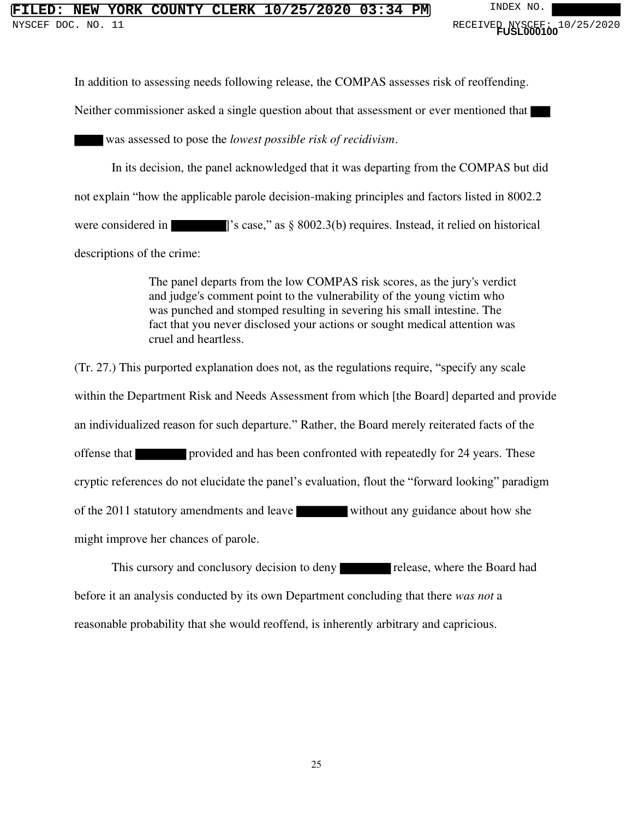## **NEW YORK COUNTY CLERK 10/25/2020 03:34 PM** INDEX NO

In addition to assessing needs following release, the COMPAS assesses risk of reoffending.

Neither commissioner asked a single question about that assessment or ever mentioned that

was assessed to pose the *lowest possible risk of recidivism*.

In its decision, the panel acknowledged that it was departing from the COMPAS but did not explain "how the applicable parole decision-making principles and factors listed in 8002.2 were considered in **Figure** 1's case," as § 8002.3(b) requires. Instead, it relied on historical descriptions of the crime:

> The panel departs from the low COMPAS risk scores, as the jury's verdict and judge's comment point to the vulnerability of the young victim who was punched and stomped resulting in severing his small intestine. The fact that you never disclosed your actions or sought medical attention was cruel and heartless.

(Tr. 27.) This purported explanation does not, as the regulations require, "specify any scale within the Department Risk and Needs Assessment from which [the Board] departed and provide an individualized reason for such departure." Rather, the Board merely reiterated facts of the offense that provided and has been confronted with repeatedly for 24 years. These cryptic references do not elucidate the panel's evaluation, flout the "forward looking" paradigm of the 2011 statutory amendments and leave without any guidance about how she might improve her chances of parole.

This cursory and conclusory decision to deny release, where the Board had before it an analysis conducted by its own Department concluding that there *was not* a reasonable probability that she would reoffend, is inherently arbitrary and capricious.